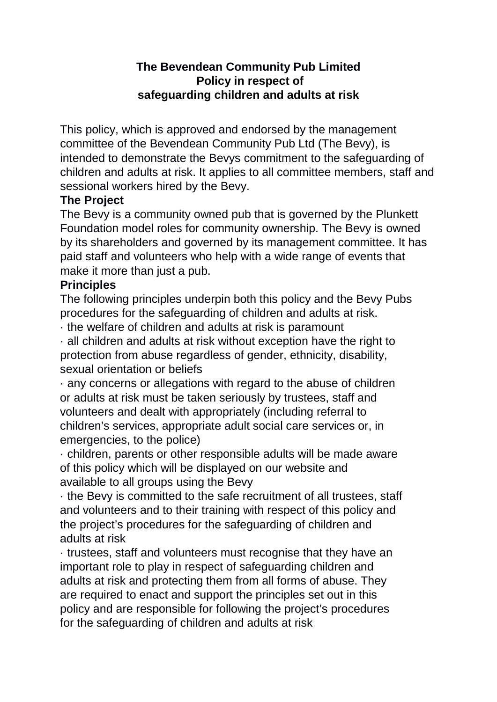### **The Bevendean Community Pub Limited Policy in respect of safeguarding children and adults at risk**

This policy, which is approved and endorsed by the management committee of the Bevendean Community Pub Ltd (The Bevy), is intended to demonstrate the Bevys commitment to the safeguarding of children and adults at risk. It applies to all committee members, staff and sessional workers hired by the Bevy.

## **The Project**

The Bevy is a community owned pub that is governed by the Plunkett Foundation model roles for community ownership. The Bevy is owned by its shareholders and governed by its management committee. It has paid staff and volunteers who help with a wide range of events that make it more than just a pub.

## **Principles**

The following principles underpin both this policy and the Bevy Pubs procedures for the safeguarding of children and adults at risk.

· the welfare of children and adults at risk is paramount

· all children and adults at risk without exception have the right to protection from abuse regardless of gender, ethnicity, disability, sexual orientation or beliefs

· any concerns or allegations with regard to the abuse of children or adults at risk must be taken seriously by trustees, staff and volunteers and dealt with appropriately (including referral to children's services, appropriate adult social care services or, in emergencies, to the police)

· children, parents or other responsible adults will be made aware of this policy which will be displayed on our website and available to all groups using the Bevy

· the Bevy is committed to the safe recruitment of all trustees, staff and volunteers and to their training with respect of this policy and the project's procedures for the safeguarding of children and adults at risk

· trustees, staff and volunteers must recognise that they have an important role to play in respect of safeguarding children and adults at risk and protecting them from all forms of abuse. They are required to enact and support the principles set out in this policy and are responsible for following the project's procedures for the safeguarding of children and adults at risk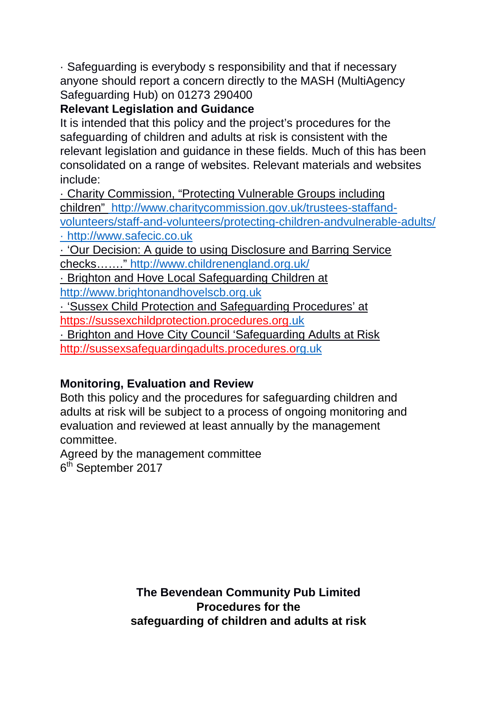· Safeguarding is everybody s responsibility and that if necessary anyone should report a concern directly to the MASH (MultiAgency Safeguarding Hub) on 01273 290400

# **Relevant Legislation and Guidance**

It is intended that this policy and the project's procedures for the safeguarding of children and adults at risk is consistent with the relevant legislation and guidance in these fields. Much of this has been consolidated on a range of websites. Relevant materials and websites include:

· Charity Commission, "Protecting Vulnerable Groups including children" http://www.charitycommission.gov.uk/trustees-staffandvolunteers/staff-and-volunteers/protecting-children-andvulnerable-adults/ · http://www.safecic.co.uk

· 'Our Decision: A guide to using Disclosure and Barring Service checks……." http://www.childrenengland.org.uk/

· Brighton and Hove Local Safeguarding Children at

http://www.brightonandhovelscb.org.uk

· 'Sussex Child Protection and Safeguarding Procedures' at

[https://sussexchildprotection.procedures.org.](http://webmail.seedybusiness.org/parse.php?redirect=https://sussexchildprotection.procedures.org)uk

· Brighton and Hove City Council 'Safeguarding Adults at Risk [http://sussexsafeguardingadults.procedures.or](http://webmail.seedybusiness.org/parse.php?redirect=http://sussexsafeguardingadults.procedures.o)g.uk

# **Monitoring, Evaluation and Review**

Both this policy and the procedures for safeguarding children and adults at risk will be subject to a process of ongoing monitoring and evaluation and reviewed at least annually by the management committee.

Agreed by the management committee

6<sup>th</sup> September 2017

**The Bevendean Community Pub Limited Procedures for the safeguarding of children and adults at risk**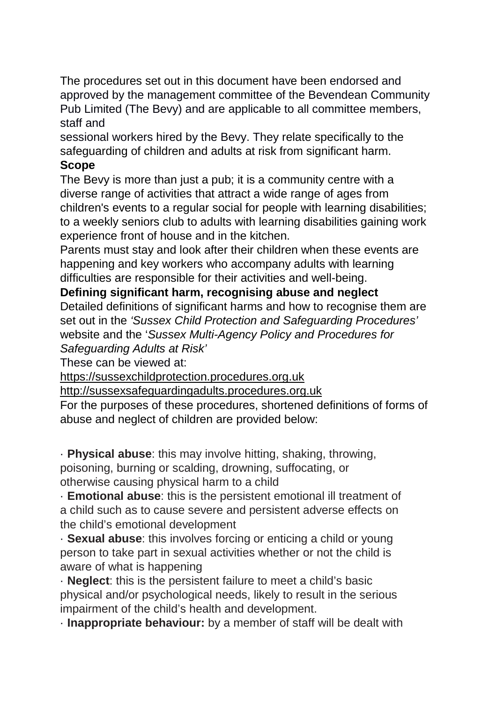The procedures set out in this document have been endorsed and approved by the management committee of the Bevendean Community Pub Limited (The Bevy) and are applicable to all committee members, staff and

sessional workers hired by the Bevy. They relate specifically to the safeguarding of children and adults at risk from significant harm.

### **Scope**

The Bevy is more than just a pub; it is a community centre with a diverse range of activities that attract a wide range of ages from children's events to a regular social for people with learning disabilities; to a weekly seniors club to adults with learning disabilities gaining work experience front of house and in the kitchen.

Parents must stay and look after their children when these events are happening and key workers who accompany adults with learning difficulties are responsible for their activities and well-being.

### **Defining significant harm, recognising abuse and neglect**

Detailed definitions of significant harms and how to recognise them are set out in the *'Sussex Child Protection and Safeguarding Procedures'* website and the '*Sussex Multi-Agency Policy and Procedures for Safeguarding Adults at Risk'* 

These can be viewed at:

[https://sussexchildprotection.procedures.org.uk](https://sussexchildprotection.procedures.org.uk/)

[http://sussexsafeguardingadults.procedures.org.uk](http://sussexsafeguardingadults.procedures.org.uk/)

For the purposes of these procedures, shortened definitions of forms of abuse and neglect of children are provided below:

· **Physical abuse**: this may involve hitting, shaking, throwing, poisoning, burning or scalding, drowning, suffocating, or

otherwise causing physical harm to a child

· **Emotional abuse**: this is the persistent emotional ill treatment of a child such as to cause severe and persistent adverse effects on the child's emotional development

· **Sexual abuse**: this involves forcing or enticing a child or young person to take part in sexual activities whether or not the child is aware of what is happening

· **Neglect**: this is the persistent failure to meet a child's basic physical and/or psychological needs, likely to result in the serious impairment of the child's health and development.

· **Inappropriate behaviour:** by a member of staff will be dealt with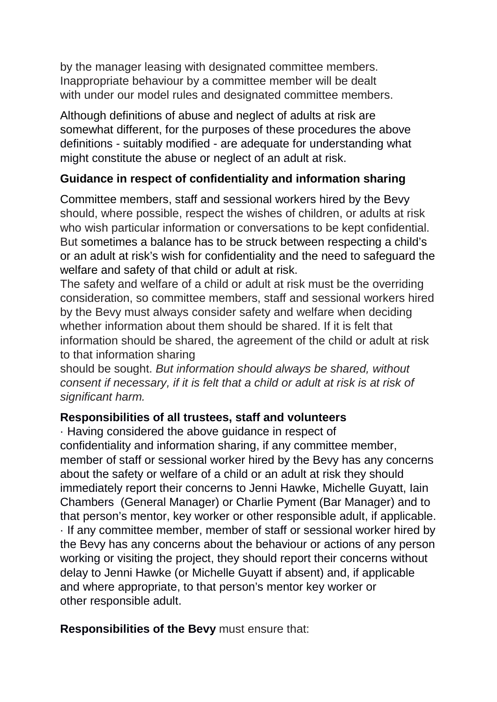by the manager leasing with designated committee members. Inappropriate behaviour by a committee member will be dealt with under our model rules and designated committee members.

Although definitions of abuse and neglect of adults at risk are somewhat different, for the purposes of these procedures the above definitions - suitably modified - are adequate for understanding what might constitute the abuse or neglect of an adult at risk.

## **Guidance in respect of confidentiality and information sharing**

Committee members, staff and sessional workers hired by the Bevy should, where possible, respect the wishes of children, or adults at risk who wish particular information or conversations to be kept confidential. But sometimes a balance has to be struck between respecting a child's or an adult at risk's wish for confidentiality and the need to safeguard the welfare and safety of that child or adult at risk.

The safety and welfare of a child or adult at risk must be the overriding consideration, so committee members, staff and sessional workers hired by the Bevy must always consider safety and welfare when deciding whether information about them should be shared. If it is felt that information should be shared, the agreement of the child or adult at risk to that information sharing

should be sought. *But information should always be shared, without consent if necessary, if it is felt that a child or adult at risk is at risk of significant harm.*

## **Responsibilities of all trustees, staff and volunteers**

· Having considered the above guidance in respect of confidentiality and information sharing, if any committee member, member of staff or sessional worker hired by the Bevy has any concerns about the safety or welfare of a child or an adult at risk they should immediately report their concerns to Jenni Hawke, Michelle Guyatt, Iain Chambers (General Manager) or Charlie Pyment (Bar Manager) and to that person's mentor, key worker or other responsible adult, if applicable. · If any committee member, member of staff or sessional worker hired by the Bevy has any concerns about the behaviour or actions of any person working or visiting the project, they should report their concerns without delay to Jenni Hawke (or Michelle Guyatt if absent) and, if applicable and where appropriate, to that person's mentor key worker or other responsible adult.

**Responsibilities of the Bevy** must ensure that: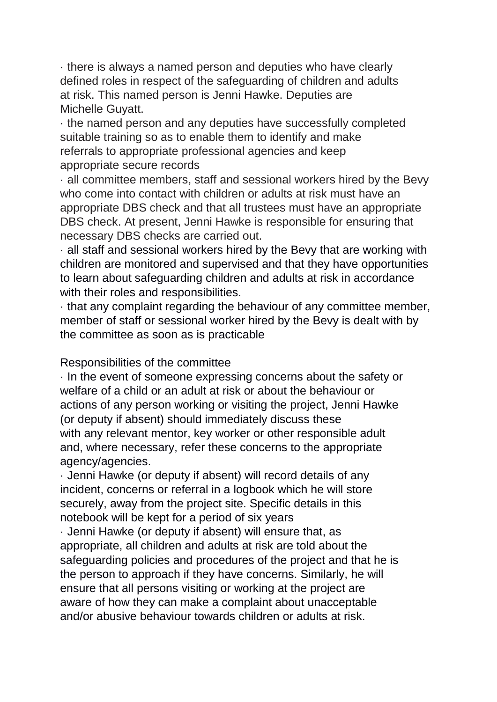· there is always a named person and deputies who have clearly defined roles in respect of the safeguarding of children and adults at risk. This named person is Jenni Hawke. Deputies are Michelle Guyatt.

· the named person and any deputies have successfully completed suitable training so as to enable them to identify and make referrals to appropriate professional agencies and keep appropriate secure records

· all committee members, staff and sessional workers hired by the Bevy who come into contact with children or adults at risk must have an appropriate DBS check and that all trustees must have an appropriate DBS check. At present, Jenni Hawke is responsible for ensuring that necessary DBS checks are carried out.

· all staff and sessional workers hired by the Bevy that are working with children are monitored and supervised and that they have opportunities to learn about safeguarding children and adults at risk in accordance with their roles and responsibilities.

· that any complaint regarding the behaviour of any committee member, member of staff or sessional worker hired by the Bevy is dealt with by the committee as soon as is practicable

Responsibilities of the committee

· In the event of someone expressing concerns about the safety or welfare of a child or an adult at risk or about the behaviour or actions of any person working or visiting the project, Jenni Hawke (or deputy if absent) should immediately discuss these with any relevant mentor, key worker or other responsible adult and, where necessary, refer these concerns to the appropriate agency/agencies.

· Jenni Hawke (or deputy if absent) will record details of any incident, concerns or referral in a logbook which he will store securely, away from the project site. Specific details in this notebook will be kept for a period of six years

· Jenni Hawke (or deputy if absent) will ensure that, as appropriate, all children and adults at risk are told about the safeguarding policies and procedures of the project and that he is the person to approach if they have concerns. Similarly, he will ensure that all persons visiting or working at the project are aware of how they can make a complaint about unacceptable and/or abusive behaviour towards children or adults at risk.